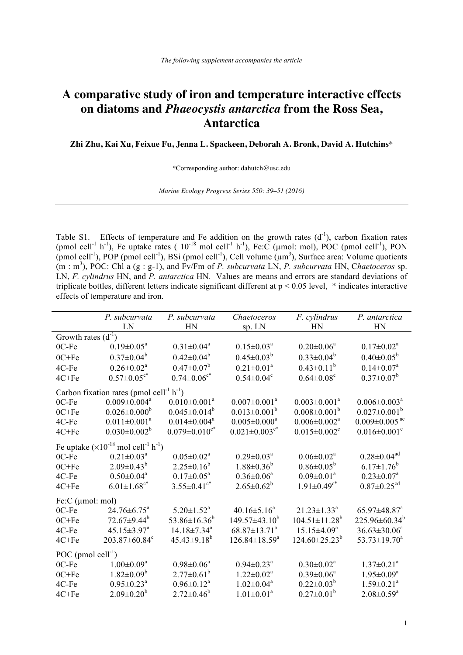## **A comparative study of iron and temperature interactive effects on diatoms and** *Phaeocystis antarctica* **from the Ross Sea, Antarctica**

**Zhi Zhu, Kai Xu, Feixue Fu, Jenna L. Spackeen, Deborah A. Bronk, David A. Hutchins**\*

\*Corresponding author: dahutch@usc.edu

*Marine Ecology Progress Series 550: 39–51 (2016)* 

Table S1. Effects of temperature and Fe addition on the growth rates  $(d^{-1})$ , carbon fixation rates (pmol cell<sup>-1</sup> h<sup>-1</sup>), Fe uptake rates (  $10^{-18}$  mol cell<sup>-1</sup> h<sup>-1</sup>), Fe:C (µmol: mol), POC (pmol cell<sup>-1</sup>), PON  $(p_{\text{mol cell}}^{-1})$ , POP (pmol cell<sup>-1</sup>), BSi (pmol cell<sup>-1</sup>), Cell volume ( $\mu$ m<sup>3</sup>), Surface area: Volume quotients (m : m<sup>3</sup> ), POC: Chl a (g : g-1), and Fv/Fm of *P. subcurvata* LN, *P. subcurvata* HN, C*haetoceros* sp. LN, *F. cylindrus* HN, and *P. antarctica* HN. Values are means and errors are standard deviations of triplicate bottles, different letters indicate significant different at p < 0.05 level, \* indicates interactive effects of temperature and iron.

|                                                                    | P. subcurvata                   | P. subcurvata                   | Chaetoceros                     | F. cylindrus                    | P. antarctica                   |  |  |  |  |
|--------------------------------------------------------------------|---------------------------------|---------------------------------|---------------------------------|---------------------------------|---------------------------------|--|--|--|--|
|                                                                    | LN                              | HN                              | sp. LN                          | HN                              | HN                              |  |  |  |  |
| Growth rates $(d^{-1})$                                            |                                 |                                 |                                 |                                 |                                 |  |  |  |  |
| 0C-Fe                                                              | $0.19 \pm 0.05^{\text{a}}$      | $0.31 \pm 0.04^a$               | $0.15 \pm 0.03^a$               | $0.20 \pm 0.06^a$               | $0.17 \pm 0.02^a$               |  |  |  |  |
| $0C + Fe$                                                          | $0.37 \pm 0.04^b$               | $0.42 \pm 0.04^b$               | $0.45 \pm 0.03^b$               | $0.33 \pm 0.04^b$               | $0.40 \pm 0.05^{\rm b}$         |  |  |  |  |
| 4C-Fe                                                              | $0.26 \pm 0.02^a$               | $0.47 \pm 0.07^b$               | $0.21 \pm 0.01^a$               | $0.43 \pm 0.11^b$               | $0.14 \pm 0.07$ <sup>a</sup>    |  |  |  |  |
| $4C + Fe$                                                          | $0.57 \pm 0.05$ <sup>c*</sup>   | $0.74 \pm 0.06$ <sup>c*</sup>   | $0.54 \pm 0.04$ <sup>c</sup>    | $0.64 \pm 0.08$ <sup>c</sup>    | $0.37 \pm 0.07^b$               |  |  |  |  |
| Carbon fixation rates (pmol cell <sup>-1</sup> $h^{-1}$ )          |                                 |                                 |                                 |                                 |                                 |  |  |  |  |
| 0C-Fe                                                              | $0.009 \pm 0.004$ <sup>a</sup>  | $0.010 \pm 0.001^a$             | $0.007 \pm 0.001^a$             | $0.003 \pm 0.001^a$             | $0.006 \pm 0.003$ <sup>a</sup>  |  |  |  |  |
| $0C + Fe$                                                          | $0.026 \pm 0.000^b$             | $0.045 \pm 0.014^b$             | $0.013 \pm 0.001^b$             | $0.008 \pm 0.001^b$             | $0.027 \pm 0.001^b$             |  |  |  |  |
| 4C-Fe                                                              | $0.011 \pm 0.001^a$             | $0.014 \pm 0.004$ <sup>a</sup>  | $0.005 \pm 0.000^a$             | $0.006 \pm 0.002$ <sup>a</sup>  | $0.009 \pm 0.005$ <sup>ac</sup> |  |  |  |  |
| 4C+Fe                                                              | $0.030 \pm 0.002^b$             | $0.079 \pm 0.010$ <sup>c*</sup> | $0.021 \pm 0.003$ <sup>c*</sup> | $0.015 \pm 0.002$ <sup>c</sup>  | $0.016 \pm 0.001$ <sup>c</sup>  |  |  |  |  |
| Fe uptake $(\times 10^{-18} \text{ mol cell}^{-1} \text{ h}^{-1})$ |                                 |                                 |                                 |                                 |                                 |  |  |  |  |
| 0C-Fe                                                              | $0.21 \pm 0.03^{\text{a}}$      | $0.05 \pm 0.02^a$               | $0.29 \pm 0.03^{\text{a}}$      | $0.06 \pm 0.02^a$               | $0.28 \pm 0.04$ <sup>ad</sup>   |  |  |  |  |
| $0C + Fe$                                                          | $2.09 \pm 0.43^b$               | $2.25 \pm 0.16^b$               | $1.88 \pm 0.36^b$               | $0.86 \pm 0.05^b$               | $6.17 \pm 1.76^b$               |  |  |  |  |
| 4C-Fe                                                              | $0.50 \pm 0.04^a$               | $0.17 \pm 0.05^a$               | $0.36 \pm 0.06^a$               | $0.09 \pm 0.01^a$               | $0.23 \pm 0.07^a$               |  |  |  |  |
| 4C+Fe                                                              | $6.01 \pm 1.68$ <sup>c*</sup>   | $3.55 \pm 0.41$ <sup>c*</sup>   | $2.65 \pm 0.62^b$               | $1.91 \pm 0.49$ <sup>c*</sup>   | $0.87 \pm 0.25$ <sup>cd</sup>   |  |  |  |  |
| Fe: $C$ ( $\mu$ mol: mol)                                          |                                 |                                 |                                 |                                 |                                 |  |  |  |  |
| 0C-Fe                                                              | $24.76 \pm 6.75^a$              | $5.20 \pm 1.52$ <sup>a</sup>    | $40.16 \pm 5.16^a$              | $21.23 \pm 1.33^a$              | $65.97 \pm 48.87$ <sup>a</sup>  |  |  |  |  |
| $0C + Fe$                                                          | $72.67 \pm 9.44^b$              | $53.86 \pm 16.36^b$             | $149.57 \pm 43.10^b$            | $104.51 \pm 11.28$ <sup>b</sup> | $225.96 \pm 60.34^b$            |  |  |  |  |
| 4C-Fe                                                              | $45.15 \pm 3.97^{\text{a}}$     | $14.18 \pm 7.34$ <sup>a</sup>   | $68.87 \pm 13.71^{\circ}$       | $15.15 \pm 4.09^a$              | $36.63 \pm 30.06^a$             |  |  |  |  |
| 4C+Fe                                                              | $203.87 \pm 60.84$ <sup>c</sup> | $45.43\pm9.18^{b}$              | $126.84 \pm 18.59^a$            | $124.60 \pm 25.23^b$            | $53.73 \pm 19.70^a$             |  |  |  |  |
| POC (pmol cell $^{-1}$ )                                           |                                 |                                 |                                 |                                 |                                 |  |  |  |  |
| 0C-Fe                                                              | $1.00 \pm 0.09^a$               | $0.98 \pm 0.06^a$               | $0.94 \pm 0.23$ <sup>a</sup>    | $0.30 \pm 0.02^a$               | $1.37 \pm 0.21$ <sup>a</sup>    |  |  |  |  |
| $0C + Fe$                                                          | $1.82 \pm 0.09^b$               | $2.77 \pm 0.61^b$               | $1.22 \pm 0.02^a$               | $0.39 \pm 0.06^a$               | $1.95 \pm 0.09^a$               |  |  |  |  |
| 4C-Fe                                                              | $0.95 \pm 0.23$ <sup>a</sup>    | $0.96 \pm 0.12^a$               | $1.02 \pm 0.04^a$               | $0.22 \pm 0.03^b$               | $1.59 \pm 0.21$ <sup>a</sup>    |  |  |  |  |
| $4C + Fe$                                                          | $2.09 \pm 0.20^b$               | $2.72 \pm 0.46^b$               | $1.01 \pm 0.01^a$               | $0.27 \pm 0.01^b$               | $2.08 \pm 0.59$ <sup>a</sup>    |  |  |  |  |